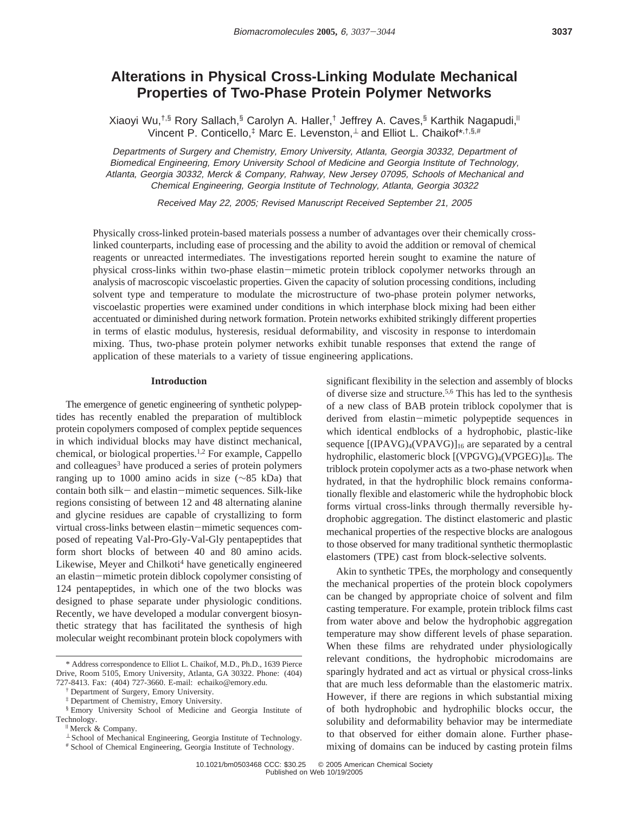# **Alterations in Physical Cross-Linking Modulate Mechanical Properties of Two-Phase Protein Polymer Networks**

Xiaoyi Wu,†,§ Rory Sallach,§ Carolyn A. Haller,† Jeffrey A. Caves,§ Karthik Nagapudi,<sup>|</sup> Vincent P. Conticello,<sup>‡</sup> Marc E. Levenston,<sup>⊥</sup> and Elliot L. Chaikof\*,<sup>†,§,#</sup>

Departments of Surgery and Chemistry, Emory University, Atlanta, Georgia 30332, Department of Biomedical Engineering, Emory University School of Medicine and Georgia Institute of Technology, Atlanta, Georgia 30332, Merck & Company, Rahway, New Jersey 07095, Schools of Mechanical and Chemical Engineering, Georgia Institute of Technology, Atlanta, Georgia 30322

Received May 22, 2005; Revised Manuscript Received September 21, 2005

Physically cross-linked protein-based materials possess a number of advantages over their chemically crosslinked counterparts, including ease of processing and the ability to avoid the addition or removal of chemical reagents or unreacted intermediates. The investigations reported herein sought to examine the nature of physical cross-links within two-phase elastin-mimetic protein triblock copolymer networks through an analysis of macroscopic viscoelastic properties. Given the capacity of solution processing conditions, including solvent type and temperature to modulate the microstructure of two-phase protein polymer networks, viscoelastic properties were examined under conditions in which interphase block mixing had been either accentuated or diminished during network formation. Protein networks exhibited strikingly different properties in terms of elastic modulus, hysteresis, residual deformability, and viscosity in response to interdomain mixing. Thus, two-phase protein polymer networks exhibit tunable responses that extend the range of application of these materials to a variety of tissue engineering applications.

#### **Introduction**

The emergence of genetic engineering of synthetic polypeptides has recently enabled the preparation of multiblock protein copolymers composed of complex peptide sequences in which individual blocks may have distinct mechanical, chemical, or biological properties.1,2 For example, Cappello and colleagues<sup>3</sup> have produced a series of protein polymers ranging up to 1000 amino acids in size (∼85 kDa) that contain both silk- and elastin-mimetic sequences. Silk-like regions consisting of between 12 and 48 alternating alanine and glycine residues are capable of crystallizing to form virtual cross-links between elastin-mimetic sequences composed of repeating Val-Pro-Gly-Val-Gly pentapeptides that form short blocks of between 40 and 80 amino acids. Likewise, Meyer and Chilkoti<sup>4</sup> have genetically engineered an elastin-mimetic protein diblock copolymer consisting of 124 pentapeptides, in which one of the two blocks was designed to phase separate under physiologic conditions. Recently, we have developed a modular convergent biosynthetic strategy that has facilitated the synthesis of high molecular weight recombinant protein block copolymers with

significant flexibility in the selection and assembly of blocks of diverse size and structure.5,6 This has led to the synthesis of a new class of BAB protein triblock copolymer that is derived from elastin-mimetic polypeptide sequences in which identical endblocks of a hydrophobic, plastic-like sequence  $[(IPAVG)<sub>4</sub>(VPAVG)]<sub>16</sub>$  are separated by a central hydrophilic, elastomeric block  $[(VPGVG)_4(VPGEG)]_{48}$ . The triblock protein copolymer acts as a two-phase network when hydrated, in that the hydrophilic block remains conformationally flexible and elastomeric while the hydrophobic block forms virtual cross-links through thermally reversible hydrophobic aggregation. The distinct elastomeric and plastic mechanical properties of the respective blocks are analogous to those observed for many traditional synthetic thermoplastic elastomers (TPE) cast from block-selective solvents.

Akin to synthetic TPEs, the morphology and consequently the mechanical properties of the protein block copolymers can be changed by appropriate choice of solvent and film casting temperature. For example, protein triblock films cast from water above and below the hydrophobic aggregation temperature may show different levels of phase separation. When these films are rehydrated under physiologically relevant conditions, the hydrophobic microdomains are sparingly hydrated and act as virtual or physical cross-links that are much less deformable than the elastomeric matrix. However, if there are regions in which substantial mixing of both hydrophobic and hydrophilic blocks occur, the solubility and deformability behavior may be intermediate to that observed for either domain alone. Further phasemixing of domains can be induced by casting protein films

<sup>\*</sup> Address correspondence to Elliot L. Chaikof, M.D., Ph.D., 1639 Pierce Drive, Room 5105, Emory University, Atlanta, GA 30322. Phone: (404) 727-8413. Fax: (404) 727-3660. E-mail: echaiko@emory.edu.

<sup>†</sup> Department of Surgery, Emory University.

<sup>‡</sup> Department of Chemistry, Emory University.

<sup>§</sup> Emory University School of Medicine and Georgia Institute of Technology.<br>
<sup>||</sup> Merck & Company.

<sup>⊥</sup> School of Mechanical Engineering, Georgia Institute of Technology.

<sup>#</sup> School of Chemical Engineering, Georgia Institute of Technology.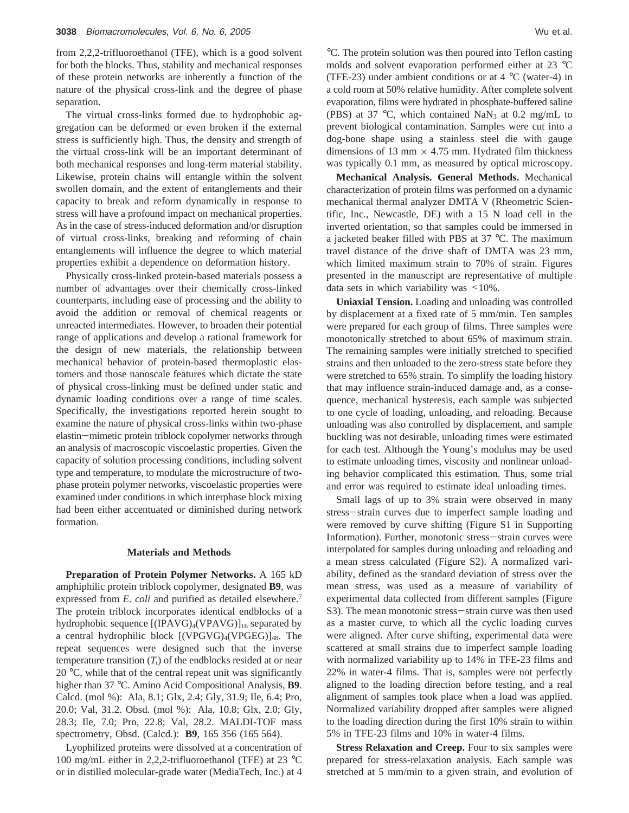from 2,2,2-trifluoroethanol (TFE), which is a good solvent for both the blocks. Thus, stability and mechanical responses of these protein networks are inherently a function of the nature of the physical cross-link and the degree of phase separation.

The virtual cross-links formed due to hydrophobic aggregation can be deformed or even broken if the external stress is sufficiently high. Thus, the density and strength of the virtual cross-link will be an important determinant of both mechanical responses and long-term material stability. Likewise, protein chains will entangle within the solvent swollen domain, and the extent of entanglements and their capacity to break and reform dynamically in response to stress will have a profound impact on mechanical properties. As in the case of stress-induced deformation and/or disruption of virtual cross-links, breaking and reforming of chain entanglements will influence the degree to which material properties exhibit a dependence on deformation history.

Physically cross-linked protein-based materials possess a number of advantages over their chemically cross-linked counterparts, including ease of processing and the ability to avoid the addition or removal of chemical reagents or unreacted intermediates. However, to broaden their potential range of applications and develop a rational framework for the design of new materials, the relationship between mechanical behavior of protein-based thermoplastic elastomers and those nanoscale features which dictate the state of physical cross-linking must be defined under static and dynamic loading conditions over a range of time scales. Specifically, the investigations reported herein sought to examine the nature of physical cross-links within two-phase elastin-mimetic protein triblock copolymer networks through an analysis of macroscopic viscoelastic properties. Given the capacity of solution processing conditions, including solvent type and temperature, to modulate the microstructure of twophase protein polymer networks, viscoelastic properties were examined under conditions in which interphase block mixing had been either accentuated or diminished during network formation.

# **Materials and Methods**

**Preparation of Protein Polymer Networks.** A 165 kD amphiphilic protein triblock copolymer, designated **B9**, was expressed from *E. coli* and purified as detailed elsewhere.<sup>7</sup> The protein triblock incorporates identical endblocks of a hydrophobic sequence  $[(IPAVG)<sub>4</sub>(VPAVG)]<sub>16</sub>$  separated by a central hydrophilic block  $[(VPGVG)_{4}(VPGEG)]_{48}$ . The repeat sequences were designed such that the inverse temperature transition  $(T_t)$  of the endblocks resided at or near 20  $\degree$ C, while that of the central repeat unit was significantly higher than 37 °C. Amino Acid Compositional Analysis, **B9**. Calcd. (mol %): Ala, 8.1; Glx, 2.4; Gly, 31.9; Ile, 6.4; Pro, 20.0; Val, 31.2. Obsd. (mol %): Ala, 10.8; Glx, 2.0; Gly, 28.3; Ile, 7.0; Pro, 22.8; Val, 28.2. MALDI-TOF mass spectrometry, Obsd. (Calcd.): **B9**, 165 356 (165 564).

Lyophilized proteins were dissolved at a concentration of 100 mg/mL either in 2,2,2-trifluoroethanol (TFE) at 23 °C or in distilled molecular-grade water (MediaTech, Inc.) at 4

°C. The protein solution was then poured into Teflon casting molds and solvent evaporation performed either at 23 °C (TFE-23) under ambient conditions or at 4 °C (water-4) in a cold room at 50% relative humidity. After complete solvent evaporation, films were hydrated in phosphate-buffered saline (PBS) at 37 °C, which contained NaN<sub>3</sub> at 0.2 mg/mL to prevent biological contamination. Samples were cut into a dog-bone shape using a stainless steel die with gauge dimensions of 13 mm  $\times$  4.75 mm. Hydrated film thickness was typically 0.1 mm, as measured by optical microscopy.

**Mechanical Analysis. General Methods.** Mechanical characterization of protein films was performed on a dynamic mechanical thermal analyzer DMTA V (Rheometric Scientific, Inc., Newcastle, DE) with a 15 N load cell in the inverted orientation, so that samples could be immersed in a jacketed beaker filled with PBS at 37 °C. The maximum travel distance of the drive shaft of DMTA was 23 mm, which limited maximum strain to 70% of strain. Figures presented in the manuscript are representative of multiple data sets in which variability was <10%.

**Uniaxial Tension.** Loading and unloading was controlled by displacement at a fixed rate of 5 mm/min. Ten samples were prepared for each group of films. Three samples were monotonically stretched to about 65% of maximum strain. The remaining samples were initially stretched to specified strains and then unloaded to the zero-stress state before they were stretched to 65% strain. To simplify the loading history that may influence strain-induced damage and, as a consequence, mechanical hysteresis, each sample was subjected to one cycle of loading, unloading, and reloading. Because unloading was also controlled by displacement, and sample buckling was not desirable, unloading times were estimated for each test. Although the Young's modulus may be used to estimate unloading times, viscosity and nonlinear unloading behavior complicated this estimation. Thus, some trial and error was required to estimate ideal unloading times.

Small lags of up to 3% strain were observed in many stress-strain curves due to imperfect sample loading and were removed by curve shifting (Figure S1 in Supporting Information). Further, monotonic stress-strain curves were interpolated for samples during unloading and reloading and a mean stress calculated (Figure S2). A normalized variability, defined as the standard deviation of stress over the mean stress, was used as a measure of variability of experimental data collected from different samples (Figure S3). The mean monotonic stress-strain curve was then used as a master curve, to which all the cyclic loading curves were aligned. After curve shifting, experimental data were scattered at small strains due to imperfect sample loading with normalized variability up to 14% in TFE-23 films and 22% in water-4 films. That is, samples were not perfectly aligned to the loading direction before testing, and a real alignment of samples took place when a load was applied. Normalized variability dropped after samples were aligned to the loading direction during the first 10% strain to within 5% in TFE-23 films and 10% in water-4 films.

**Stress Relaxation and Creep.** Four to six samples were prepared for stress-relaxation analysis. Each sample was stretched at 5 mm/min to a given strain, and evolution of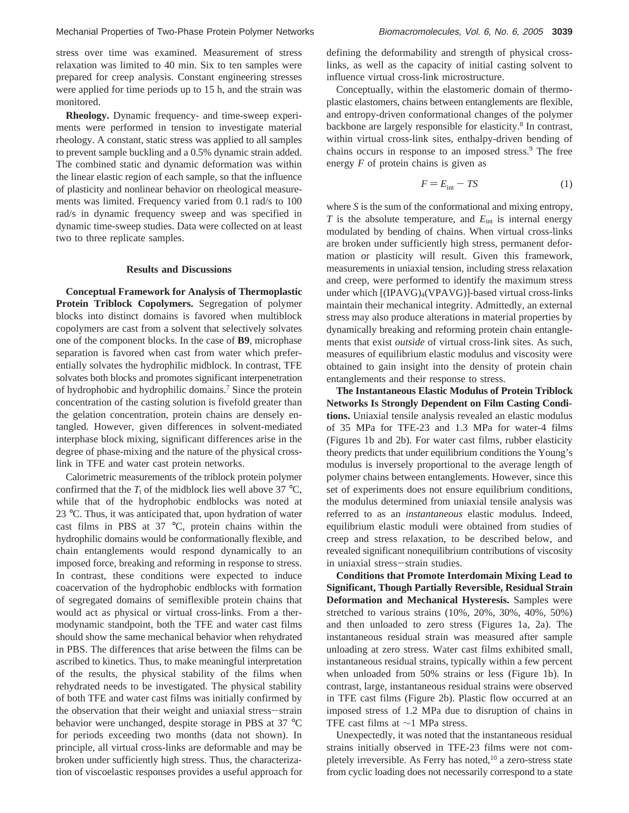stress over time was examined. Measurement of stress relaxation was limited to 40 min. Six to ten samples were prepared for creep analysis. Constant engineering stresses were applied for time periods up to 15 h, and the strain was monitored.

**Rheology.** Dynamic frequency- and time-sweep experiments were performed in tension to investigate material rheology. A constant, static stress was applied to all samples to prevent sample buckling and a 0.5% dynamic strain added. The combined static and dynamic deformation was within the linear elastic region of each sample, so that the influence of plasticity and nonlinear behavior on rheological measurements was limited. Frequency varied from 0.1 rad/s to 100 rad/s in dynamic frequency sweep and was specified in dynamic time-sweep studies. Data were collected on at least two to three replicate samples.

# **Results and Discussions**

**Conceptual Framework for Analysis of Thermoplastic Protein Triblock Copolymers.** Segregation of polymer blocks into distinct domains is favored when multiblock copolymers are cast from a solvent that selectively solvates one of the component blocks. In the case of **B9**, microphase separation is favored when cast from water which preferentially solvates the hydrophilic midblock. In contrast, TFE solvates both blocks and promotes significant interpenetration of hydrophobic and hydrophilic domains.7 Since the protein concentration of the casting solution is fivefold greater than the gelation concentration, protein chains are densely entangled. However, given differences in solvent-mediated interphase block mixing, significant differences arise in the degree of phase-mixing and the nature of the physical crosslink in TFE and water cast protein networks.

Calorimetric measurements of the triblock protein polymer confirmed that the  $T_t$  of the midblock lies well above 37 °C, while that of the hydrophobic endblocks was noted at 23 °C. Thus, it was anticipated that, upon hydration of water cast films in PBS at 37 °C, protein chains within the hydrophilic domains would be conformationally flexible, and chain entanglements would respond dynamically to an imposed force, breaking and reforming in response to stress. In contrast, these conditions were expected to induce coacervation of the hydrophobic endblocks with formation of segregated domains of semiflexible protein chains that would act as physical or virtual cross-links. From a thermodynamic standpoint, both the TFE and water cast films should show the same mechanical behavior when rehydrated in PBS. The differences that arise between the films can be ascribed to kinetics. Thus, to make meaningful interpretation of the results, the physical stability of the films when rehydrated needs to be investigated. The physical stability of both TFE and water cast films was initially confirmed by the observation that their weight and uniaxial stress-strain behavior were unchanged, despite storage in PBS at 37 °C for periods exceeding two months (data not shown). In principle, all virtual cross-links are deformable and may be broken under sufficiently high stress. Thus, the characterization of viscoelastic responses provides a useful approach for defining the deformability and strength of physical crosslinks, as well as the capacity of initial casting solvent to influence virtual cross-link microstructure.

Conceptually, within the elastomeric domain of thermoplastic elastomers, chains between entanglements are flexible, and entropy-driven conformational changes of the polymer backbone are largely responsible for elasticity.<sup>8</sup> In contrast, within virtual cross-link sites, enthalpy-driven bending of chains occurs in response to an imposed stress.<sup>9</sup> The free energy *F* of protein chains is given as

$$
F = E_{\text{int}} - TS \tag{1}
$$

where *S* is the sum of the conformational and mixing entropy, *T* is the absolute temperature, and  $E_{int}$  is internal energy modulated by bending of chains. When virtual cross-links are broken under sufficiently high stress, permanent deformation or plasticity will result. Given this framework, measurements in uniaxial tension, including stress relaxation and creep, were performed to identify the maximum stress under which [(IPAVG)<sub>4</sub>(VPAVG)]-based virtual cross-links maintain their mechanical integrity. Admittedly, an external stress may also produce alterations in material properties by dynamically breaking and reforming protein chain entanglements that exist *outside* of virtual cross-link sites. As such, measures of equilibrium elastic modulus and viscosity were obtained to gain insight into the density of protein chain entanglements and their response to stress.

**The Instantaneous Elastic Modulus of Protein Triblock Networks Is Strongly Dependent on Film Casting Conditions.** Uniaxial tensile analysis revealed an elastic modulus of 35 MPa for TFE-23 and 1.3 MPa for water-4 films (Figures 1b and 2b). For water cast films, rubber elasticity theory predicts that under equilibrium conditions the Young's modulus is inversely proportional to the average length of polymer chains between entanglements. However, since this set of experiments does not ensure equilibrium conditions, the modulus determined from uniaxial tensile analysis was referred to as an *instantaneous* elastic modulus. Indeed, equilibrium elastic moduli were obtained from studies of creep and stress relaxation, to be described below, and revealed significant nonequilibrium contributions of viscosity in uniaxial stress-strain studies.

**Conditions that Promote Interdomain Mixing Lead to Significant, Though Partially Reversible, Residual Strain Deformation and Mechanical Hysteresis.** Samples were stretched to various strains (10%, 20%, 30%, 40%, 50%) and then unloaded to zero stress (Figures 1a, 2a). The instantaneous residual strain was measured after sample unloading at zero stress. Water cast films exhibited small, instantaneous residual strains, typically within a few percent when unloaded from 50% strains or less (Figure 1b). In contrast, large, instantaneous residual strains were observed in TFE cast films (Figure 2b). Plastic flow occurred at an imposed stress of 1.2 MPa due to disruption of chains in TFE cast films at ∼1 MPa stress.

Unexpectedly, it was noted that the instantaneous residual strains initially observed in TFE-23 films were not completely irreversible. As Ferry has noted, $10$  a zero-stress state from cyclic loading does not necessarily correspond to a state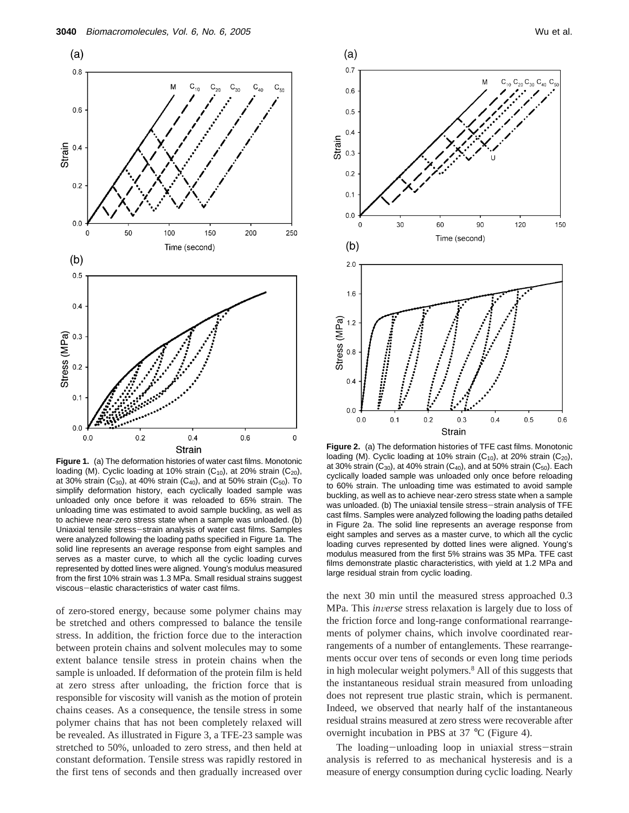

**Figure 1.** (a) The deformation histories of water cast films. Monotonic loading (M). Cyclic loading at 10% strain  $(C_{10})$ , at 20% strain  $(C_{20})$ , at 30% strain ( $C_{30}$ ), at 40% strain ( $C_{40}$ ), and at 50% strain ( $C_{50}$ ). To simplify deformation history, each cyclically loaded sample was unloaded only once before it was reloaded to 65% strain. The unloading time was estimated to avoid sample buckling, as well as to achieve near-zero stress state when a sample was unloaded. (b) Uniaxial tensile stress-strain analysis of water cast films. Samples were analyzed following the loading paths specified in Figure 1a. The solid line represents an average response from eight samples and serves as a master curve, to which all the cyclic loading curves represented by dotted lines were aligned. Young's modulus measured from the first 10% strain was 1.3 MPa. Small residual strains suggest viscous-elastic characteristics of water cast films.

of zero-stored energy, because some polymer chains may be stretched and others compressed to balance the tensile stress. In addition, the friction force due to the interaction between protein chains and solvent molecules may to some extent balance tensile stress in protein chains when the sample is unloaded. If deformation of the protein film is held at zero stress after unloading, the friction force that is responsible for viscosity will vanish as the motion of protein chains ceases. As a consequence, the tensile stress in some polymer chains that has not been completely relaxed will be revealed. As illustrated in Figure 3, a TFE-23 sample was stretched to 50%, unloaded to zero stress, and then held at constant deformation. Tensile stress was rapidly restored in the first tens of seconds and then gradually increased over



**Figure 2.** (a) The deformation histories of TFE cast films. Monotonic loading (M). Cyclic loading at 10% strain  $(C_{10})$ , at 20% strain  $(C_{20})$ , at 30% strain  $(C_{30})$ , at 40% strain  $(C_{40})$ , and at 50% strain  $(C_{50})$ . Each cyclically loaded sample was unloaded only once before reloading to 60% strain. The unloading time was estimated to avoid sample buckling, as well as to achieve near-zero stress state when a sample was unloaded. (b) The uniaxial tensile stress-strain analysis of TFE cast films. Samples were analyzed following the loading paths detailed in Figure 2a. The solid line represents an average response from eight samples and serves as a master curve, to which all the cyclic loading curves represented by dotted lines were aligned. Young's modulus measured from the first 5% strains was 35 MPa. TFE cast films demonstrate plastic characteristics, with yield at 1.2 MPa and large residual strain from cyclic loading.

the next 30 min until the measured stress approached 0.3 MPa. This *inverse* stress relaxation is largely due to loss of the friction force and long-range conformational rearrangements of polymer chains, which involve coordinated rearrangements of a number of entanglements. These rearrangements occur over tens of seconds or even long time periods in high molecular weight polymers.<sup>8</sup> All of this suggests that the instantaneous residual strain measured from unloading does not represent true plastic strain, which is permanent. Indeed, we observed that nearly half of the instantaneous residual strains measured at zero stress were recoverable after overnight incubation in PBS at 37 °C (Figure 4).

The loading-unloading loop in uniaxial stress-strain analysis is referred to as mechanical hysteresis and is a measure of energy consumption during cyclic loading. Nearly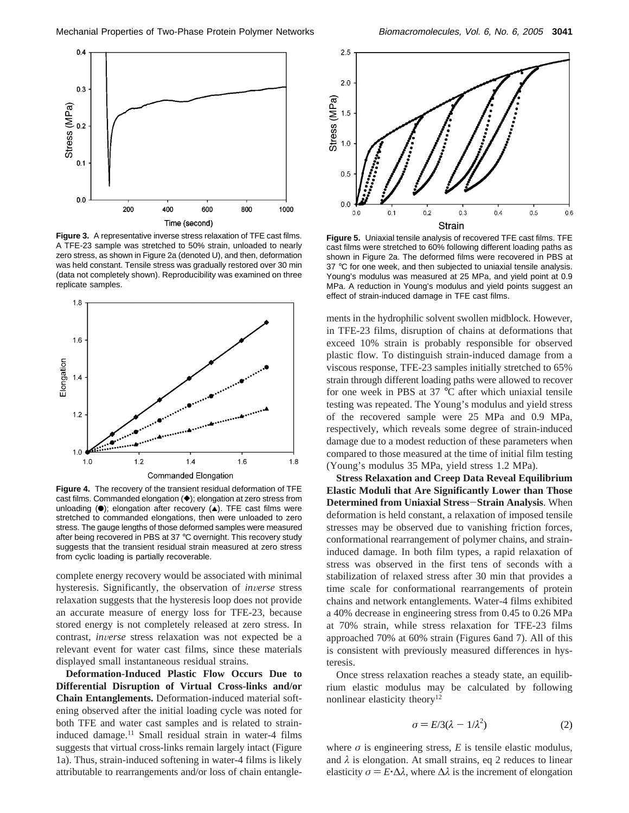

**Figure 3.** A representative inverse stress relaxation of TFE cast films. A TFE-23 sample was stretched to 50% strain, unloaded to nearly zero stress, as shown in Figure 2a (denoted U), and then, deformation was held constant. Tensile stress was gradually restored over 30 min (data not completely shown). Reproducibility was examined on three replicate samples.



**Figure 4.** The recovery of the transient residual deformation of TFE cast films. Commanded elongation  $(\blacklozenge)$ ; elongation at zero stress from unloading  $(\bullet)$ ; elongation after recovery  $(\blacktriangle)$ . TFE cast films were stretched to commanded elongations, then were unloaded to zero stress. The gauge lengths of those deformed samples were measured after being recovered in PBS at 37 °C overnight. This recovery study suggests that the transient residual strain measured at zero stress from cyclic loading is partially recoverable.

complete energy recovery would be associated with minimal hysteresis. Significantly, the observation of *inverse* stress relaxation suggests that the hysteresis loop does not provide an accurate measure of energy loss for TFE-23, because stored energy is not completely released at zero stress. In contrast, *inverse* stress relaxation was not expected be a relevant event for water cast films, since these materials displayed small instantaneous residual strains.

**Deformation-Induced Plastic Flow Occurs Due to Differential Disruption of Virtual Cross-links and/or Chain Entanglements.** Deformation-induced material softening observed after the initial loading cycle was noted for both TFE and water cast samples and is related to straininduced damage.<sup>11</sup> Small residual strain in water-4 films suggests that virtual cross-links remain largely intact (Figure 1a). Thus, strain-induced softening in water-4 films is likely attributable to rearrangements and/or loss of chain entangle-



**Figure 5.** Uniaxial tensile analysis of recovered TFE cast films. TFE cast films were stretched to 60% following different loading paths as shown in Figure 2a. The deformed films were recovered in PBS at 37 °C for one week, and then subjected to uniaxial tensile analysis. Young's modulus was measured at 25 MPa, and yield point at 0.9 MPa. A reduction in Young's modulus and yield points suggest an effect of strain-induced damage in TFE cast films.

ments in the hydrophilic solvent swollen midblock. However, in TFE-23 films, disruption of chains at deformations that exceed 10% strain is probably responsible for observed plastic flow. To distinguish strain-induced damage from a viscous response, TFE-23 samples initially stretched to 65% strain through different loading paths were allowed to recover for one week in PBS at 37 °C after which uniaxial tensile testing was repeated. The Young's modulus and yield stress of the recovered sample were 25 MPa and 0.9 MPa, respectively, which reveals some degree of strain-induced damage due to a modest reduction of these parameters when compared to those measured at the time of initial film testing (Young's modulus 35 MPa, yield stress 1.2 MPa).

**Stress Relaxation and Creep Data Reveal Equilibrium Elastic Moduli that Are Significantly Lower than Those Determined from Uniaxial Stress**-**Strain Analysis**. When deformation is held constant, a relaxation of imposed tensile stresses may be observed due to vanishing friction forces, conformational rearrangement of polymer chains, and straininduced damage. In both film types, a rapid relaxation of stress was observed in the first tens of seconds with a stabilization of relaxed stress after 30 min that provides a time scale for conformational rearrangements of protein chains and network entanglements. Water-4 films exhibited a 40% decrease in engineering stress from 0.45 to 0.26 MPa at 70% strain, while stress relaxation for TFE-23 films approached 70% at 60% strain (Figures 6and 7). All of this is consistent with previously measured differences in hysteresis.

Once stress relaxation reaches a steady state, an equilibrium elastic modulus may be calculated by following nonlinear elasticity theory<sup>12</sup>

$$
\sigma = E/3(\lambda - 1/\lambda^2) \tag{2}
$$

where  $\sigma$  is engineering stress,  $E$  is tensile elastic modulus, and  $\lambda$  is elongation. At small strains, eq 2 reduces to linear elasticity  $\sigma = E \cdot \Delta \lambda$ , where  $\Delta \lambda$  is the increment of elongation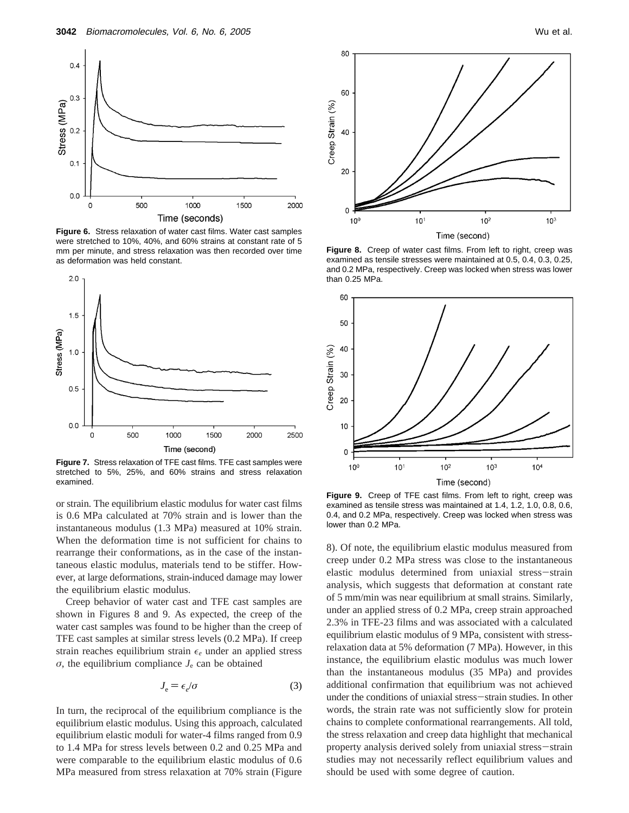

**Figure 6.** Stress relaxation of water cast films. Water cast samples were stretched to 10%, 40%, and 60% strains at constant rate of 5 mm per minute, and stress relaxation was then recorded over time as deformation was held constant.



**Figure 7.** Stress relaxation of TFE cast films. TFE cast samples were stretched to 5%, 25%, and 60% strains and stress relaxation examined.

or strain. The equilibrium elastic modulus for water cast films is 0.6 MPa calculated at 70% strain and is lower than the instantaneous modulus (1.3 MPa) measured at 10% strain. When the deformation time is not sufficient for chains to rearrange their conformations, as in the case of the instantaneous elastic modulus, materials tend to be stiffer. However, at large deformations, strain-induced damage may lower the equilibrium elastic modulus.

Creep behavior of water cast and TFE cast samples are shown in Figures 8 and 9. As expected, the creep of the water cast samples was found to be higher than the creep of TFE cast samples at similar stress levels (0.2 MPa). If creep strain reaches equilibrium strain  $\epsilon_e$  under an applied stress  $\sigma$ , the equilibrium compliance  $J_e$  can be obtained

$$
J_{\rm e} = \epsilon_{\rm e}/\sigma \tag{3}
$$

In turn, the reciprocal of the equilibrium compliance is the equilibrium elastic modulus. Using this approach, calculated equilibrium elastic moduli for water-4 films ranged from 0.9 to 1.4 MPa for stress levels between 0.2 and 0.25 MPa and were comparable to the equilibrium elastic modulus of 0.6 MPa measured from stress relaxation at 70% strain (Figure



**Figure 8.** Creep of water cast films. From left to right, creep was examined as tensile stresses were maintained at 0.5, 0.4, 0.3, 0.25, and 0.2 MPa, respectively. Creep was locked when stress was lower than 0.25 MPa.



**Figure 9.** Creep of TFE cast films. From left to right, creep was examined as tensile stress was maintained at 1.4, 1.2, 1.0, 0.8, 0.6, 0.4, and 0.2 MPa, respectively. Creep was locked when stress was lower than 0.2 MPa.

8). Of note, the equilibrium elastic modulus measured from creep under 0.2 MPa stress was close to the instantaneous elastic modulus determined from uniaxial stress-strain analysis, which suggests that deformation at constant rate of 5 mm/min was near equilibrium at small strains. Similarly, under an applied stress of 0.2 MPa, creep strain approached 2.3% in TFE-23 films and was associated with a calculated equilibrium elastic modulus of 9 MPa, consistent with stressrelaxation data at 5% deformation (7 MPa). However, in this instance, the equilibrium elastic modulus was much lower than the instantaneous modulus (35 MPa) and provides additional confirmation that equilibrium was not achieved under the conditions of uniaxial stress-strain studies. In other words, the strain rate was not sufficiently slow for protein chains to complete conformational rearrangements. All told, the stress relaxation and creep data highlight that mechanical property analysis derived solely from uniaxial stress-strain studies may not necessarily reflect equilibrium values and should be used with some degree of caution.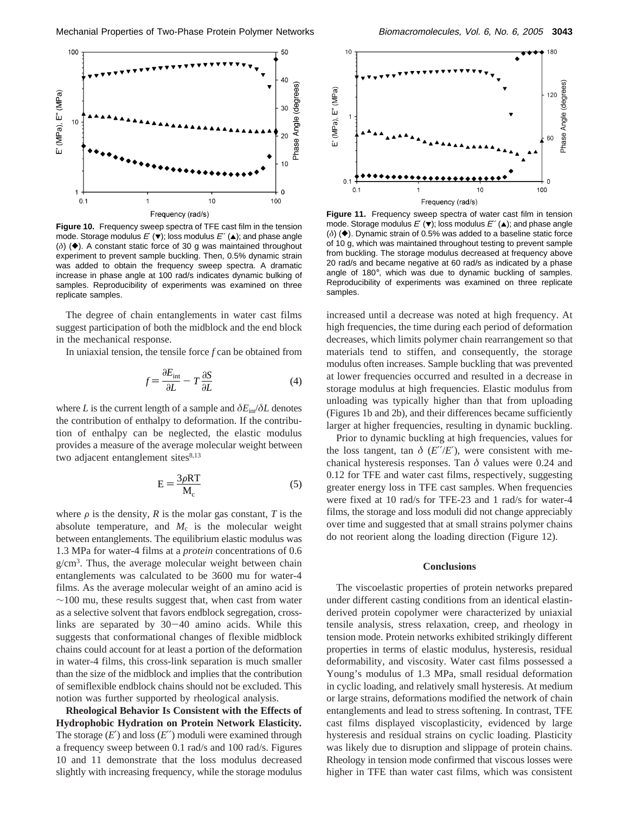

**Figure 10.** Frequency sweep spectra of TFE cast film in the tension mode. Storage modulus  $E'(\blacktriangledown)$ ; loss modulus  $E''(\blacktriangle)$ ; and phase angle (*δ*) ([). A constant static force of 30 g was maintained throughout experiment to prevent sample buckling. Then, 0.5% dynamic strain was added to obtain the frequency sweep spectra. A dramatic increase in phase angle at 100 rad/s indicates dynamic bulking of samples. Reproducibility of experiments was examined on three replicate samples.

The degree of chain entanglements in water cast films suggest participation of both the midblock and the end block in the mechanical response.

In uniaxial tension, the tensile force *f* can be obtained from

$$
f = \frac{\partial E_{\text{int}}}{\partial L} - T \frac{\partial S}{\partial L} \tag{4}
$$

where *L* is the current length of a sample and  $\delta E_{\text{int}}/\delta L$  denotes the contribution of enthalpy to deformation. If the contribution of enthalpy can be neglected, the elastic modulus provides a measure of the average molecular weight between two adjacent entanglement sites $8,13$ 

$$
E = \frac{3\rho RT}{M_c}
$$
 (5)

where  $\rho$  is the density,  $R$  is the molar gas constant,  $T$  is the absolute temperature, and  $M_c$  is the molecular weight between entanglements. The equilibrium elastic modulus was 1.3 MPa for water-4 films at a *protein* concentrations of 0.6 g/cm<sup>3</sup>. Thus, the average molecular weight between chain entanglements was calculated to be 3600 mu for water-4 films. As the average molecular weight of an amino acid is  $∼100$  mu, these results suggest that, when cast from water as a selective solvent that favors endblock segregation, crosslinks are separated by 30-40 amino acids. While this suggests that conformational changes of flexible midblock chains could account for at least a portion of the deformation in water-4 films, this cross-link separation is much smaller than the size of the midblock and implies that the contribution of semiflexible endblock chains should not be excluded. This notion was further supported by rheological analysis.

**Rheological Behavior Is Consistent with the Effects of Hydrophobic Hydration on Protein Network Elasticity***.* The storage  $(E')$  and loss  $(E'')$  moduli were examined through a frequency sweep between 0.1 rad/s and 100 rad/s. Figures 10 and 11 demonstrate that the loss modulus decreased slightly with increasing frequency, while the storage modulus



**Figure 11.** Frequency sweep spectra of water cast film in tension mode. Storage modulus  $E'(\blacktriangledown)$ ; loss modulus  $E''(\blacktriangle)$ ; and phase angle ( $\delta$ ) ( $\blacklozenge$ ). Dynamic strain of 0.5% was added to a baseline static force of 10 g, which was maintained throughout testing to prevent sample from buckling. The storage modulus decreased at frequency above 20 rad/s and became negative at 60 rad/s as indicated by a phase angle of 180°, which was due to dynamic buckling of samples. Reproducibility of experiments was examined on three replicate samples.

increased until a decrease was noted at high frequency. At high frequencies, the time during each period of deformation decreases, which limits polymer chain rearrangement so that materials tend to stiffen, and consequently, the storage modulus often increases. Sample buckling that was prevented at lower frequencies occurred and resulted in a decrease in storage modulus at high frequencies. Elastic modulus from unloading was typically higher than that from uploading (Figures 1b and 2b), and their differences became sufficiently larger at higher frequencies, resulting in dynamic buckling.

Prior to dynamic buckling at high frequencies, values for the loss tangent, tan  $\delta$  (*E''*/*E'*), were consistent with mechanical hysteresis responses. Tan *δ* values were 0.24 and 0.12 for TFE and water cast films, respectively, suggesting greater energy loss in TFE cast samples. When frequencies were fixed at 10 rad/s for TFE-23 and 1 rad/s for water-4 films, the storage and loss moduli did not change appreciably over time and suggested that at small strains polymer chains do not reorient along the loading direction (Figure 12).

# **Conclusions**

The viscoelastic properties of protein networks prepared under different casting conditions from an identical elastinderived protein copolymer were characterized by uniaxial tensile analysis, stress relaxation, creep, and rheology in tension mode. Protein networks exhibited strikingly different properties in terms of elastic modulus, hysteresis, residual deformability, and viscosity. Water cast films possessed a Young's modulus of 1.3 MPa, small residual deformation in cyclic loading, and relatively small hysteresis. At medium or large strains, deformations modified the network of chain entanglements and lead to stress softening. In contrast, TFE cast films displayed viscoplasticity, evidenced by large hysteresis and residual strains on cyclic loading. Plasticity was likely due to disruption and slippage of protein chains. Rheology in tension mode confirmed that viscous losses were higher in TFE than water cast films, which was consistent